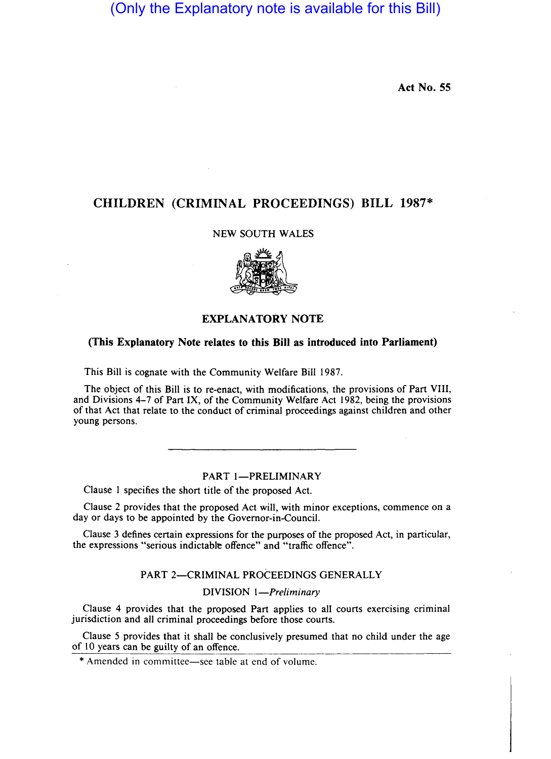(Only the Explanatory note is available for this Bill)

Act No. 55

# CHILDREN (CRIMINAL PROCEEDINGS) BILL 1987\*

# NEW SOUTH WALES



# EXPLANATORY NOTE

# (This Explanatory Note relates to this Bill as introduced into Parliament)

This Bill is cognate with the Community Welfare Bill 1987.

The object of this Bill is to re-enact, with modifications, the provisions of Part VIII, and Divisions 4-7 of Part IX, of the Community Welfare Act 1982, being the provisions of that Act that relate to the conduct of criminal proceedings against children and other young persons.

## PART 1-PRELIMINARY

Clause I specifies the short title of the proposed Act.

Clause 2 provides that the proposed Act will, with minor exceptions, commence on a day or days to be appointed by the Governor-in-Council.

Clause 3 defines certain expressions for the purposes of the proposed Act, in particular, the expressions "serious indictable offence" and "traffic offence".

# PART 2-CRIMINAL PROCEEDINGS GENERALLY

DIVISION *I-Preliminary* 

Clause 4 provides that the proposed Part applies to all courts exercising criminal jurisdiction and all criminal proceedings before those courts.

Clause 5 provides that it shall be conclusively presumed that no child under the age of 10 years can be guilty of an offence.

\* Amended in committee-see table at end of volume.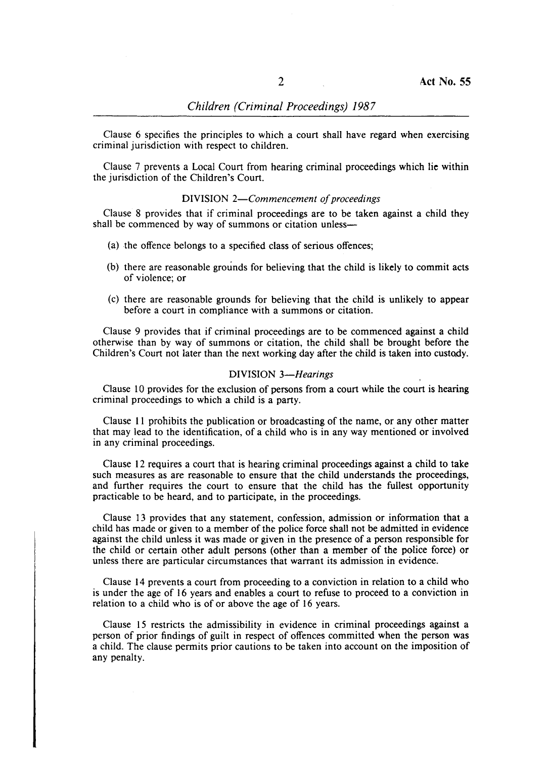Clause 6 specifies the principles to which a court shall have regard when exercising criminal jurisdiction with respect to children.

Clause 7 prevents a Local Court from hearing criminal proceedings which lie within the jurisdiction of the Children's Court.

### DIVISION *2-Commencement of proceedings*

Clause 8 provides that if criminal proceedings are to be taken against a child they shall be commenced by way of summons or citation unless-

- (a) the offence belongs to a specified class of serious offences;
- (b) there are reasonable grounds for believing that the child is likely to commit acts of violence; or
- (c) there are reasonable grounds for believing that the child is unlikely to appear before a court in compliance with a summons or citation.

Clause 9 provides that if criminal proceedings are to be commenced against a child otherwise than by way of summons or citation, the child shall be brought before the Children's Court not later than the next working day after the child is taken into custody.

### DIVISION *3-Hearings*

Clause 10 provides for the exclusion of persons from a court while the court is hearing criminal proceedings to which a child is a party.

Clause II prohibits the publication or broadcasting of the name, or any other matter that may lead to the identification, of a child who is in any way mentioned or involved in any criminal proceedings.

Clause 12 requires a court that is hearing criminal proceedings against a child to take such measures as are reasonable to ensure that the child understands the proceedings, and further requires the court to ensure that the child has the fullest opportunity practicable to be heard, and to participate, in the proceedings.

Clause 13 provides that any statement, confession, admission or information that a child has made or given to a member of the police force shall not be admitted in evidence against the child unless it was made or given in the presence of a person responsible for the child or certain other adult persons (other than a member of the police force) or unless there are particular circumstances that warrant its admission in evidence.

Clause 14 prevents a court from proceeding to a conviction in relation to a child who is under the age of 16 years and enables a court to refuse to proceed to a conviction in relation to a child who is of or above the age of 16 years.

Clause 15 restricts the admissibility in evidence in criminal proceedings against a person of prior findings of guilt in respect of offences committed when the person was a child. The clause permits prior cautions to be taken into account on the imposition of any penalty.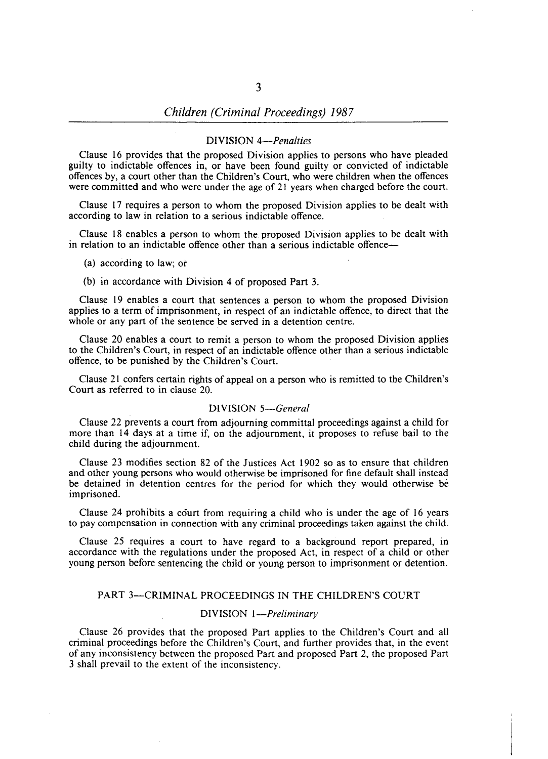### DIVISION *4-Penalties*

Clause 16 provides that the proposed Division applies to persons who have pleaded guilty to indictable offences in, or have been found guilty or convicted of indictable offences by, a court other than the Children's Court, who were children when the offences were committed and who were under the age of 21 years when charged before the court.

Clause 17 requires a person to whom the proposed Division applies to be dealt with according to law in relation to a serious indictable offence.

Clause 18 enables a person to whom the proposed Division applies to be dealt with in relation to an indictable offence other than a serious indictable offence—

- (a) according to law; ot
- (b) in accordance with Division 4 of proposed Part 3.

Clause 19 enables a court that sentences a person to whom the proposed Division applies to a term of imprisonment, in respect of an indictable offence, to direct that the whole or any part of the sentence be served in a detention centre.

Clause 20 enables a court to remit a person to whom the proposed Division applies to the Children's Court, in respect of an indictable offence other than a serious indictable offence, to be punished by the Children's Court.

Clause 21 confers certain rights of appeal on a person who is remitted to the Children's Court as referred to in clause 20.

#### DIVISION *5-General*

Clause 22 prevents a court from adjourning committal proceedings against a child for more than 14 days at a time if, on the adjournment, it proposes to refuse bail to the child during the adjournment.

Clause 23 modifies section 82 of the Justices Act 1902 so as to ensure that children and other young persons who would otherwise be imprisoned for fine default shall instead be detained in detention centres for the period for which they would otherwise be imprisoned.

Clause 24 prohibits a court from requiring a child who is under the age of 16 years to pay compensation in connection with any criminal proceedings taken against the child.

Clause 25 requires a court to have regard to a background report prepared, in accordance with the regulations under the proposed Act, in respect of a child or other young person before sentencing the child or young person to imprisonment or detention.

#### PART 3-CRIMINAL PROCEEDINGS IN THE CHILDREN'S COURT

### DIVISION *I-Preliminary*

Clause 26 provides that the proposed Part applies to the Children's Court and all criminal proceedings before the Children's Court, and further provides that, in the event of any inconsistency between the proposed Part and proposed Part 2, the proposed Part 3 shall prevail to the extent of the inconsistency.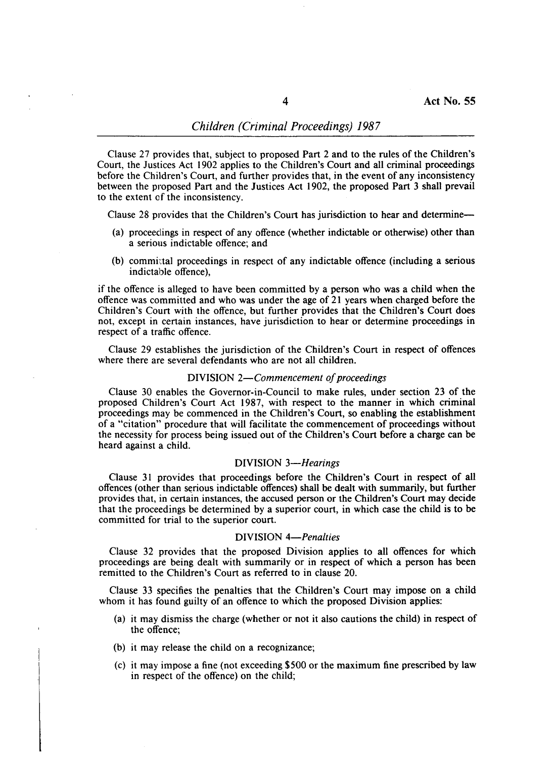Clause 27 provides that, subject to proposed Part 2 and to the rules of the Children's Court, the Justices Act 1902 applies to the Children's Court and all criminal proceedings before the Children's Court, and further provides that, in the event of any inconsistency between the proposed Part and the Justices Act 1902, the proposed Part 3 shall prevail to the extent of the inconsistency.

Clause 28 provides that the Children's Court has jurisdiction to hear and determine-

- (a) proceedings in respect of any offence (whether indictable or otherwise) other than a serious indictable offence; and
- (b) committal proceedings in respect of any indictable offence (including a serious indictable offence),

if the offence is alleged to have been committed by a person who was a child when the offence was committed and who was under the age of 21 years when charged before the Children's Court with the offence, but further provides that the Children's Court does not, except in certain instances, have jurisdiction to hear or determine proceedings in respect of a traffic offence.

Clause 29 establishes the jurisdiction of the Children's Court in respect of offences where there are several defendants who are not all children.

#### DIVISION *2-Commencement of proceedings*

Clause 30 enables the Governor-in-Council to make rules, under section 23 of the proposed Children's Court Act 1987, with respect to the manner in which criminal proceedings may be commenced in the Children's Court, so enabling the establishment of a "citation" procedure that will facilitate the commencement of proceedings without the necessity for process being issued out of the Children's Court before a charge can be heard against a child.

### DIVISION *3-Hearings*

Clause 31 provides that proceedings before the Children's Court in respect of all offences (other than serious indictable offences) shall be dealt with summarily, but further provides that, in certain instances, the accused person or the Children's Court may decide that the proceedings be determined by a superior court, in which case the child is to be committed for trial to the superior court.

#### DIVISION *4-Penalties*

Clause 32 provides that the proposed Division applies to all offences for which proceedings are being dealt with summarily or in respect of which a person has been remitted to the Children's Court as referred to in clause 20.

Clause 33 specifies the penalties that the Children's Court may impose on a child whom it has found guilty of an offence to which the proposed Division applies:

- (a) it may dismiss the charge (whether or not it also cautions the child) in respect of the offence;
- (b) it may release the child on a recognizance;
- (c) it may impose a fine (not exceeding \$500 or the maximum fine prescribed by law in respect of the offence) on the child;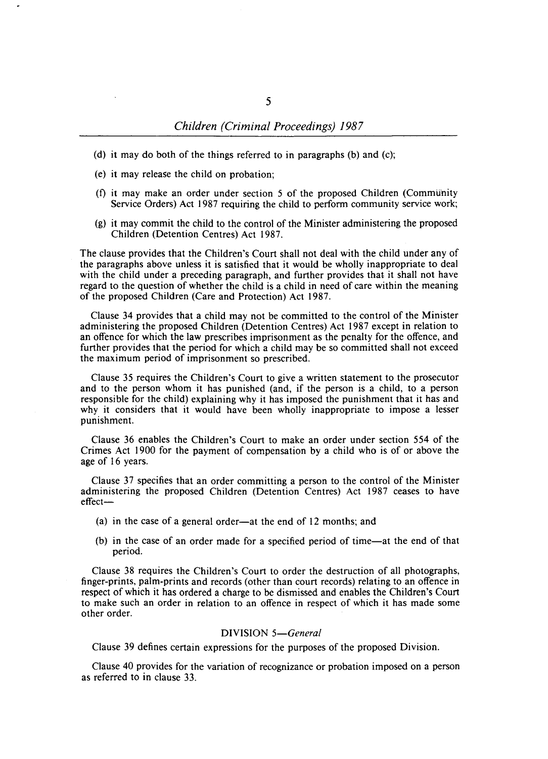- (d) it may do both of the things referred to in paragraphs (b) and (c);
- (e) it may release the child on probation;
- (f) it may make an order under section 5 of the proposed Children (Community Service Orders) Act 1987 requiring the child to perform community service work;
- (g) it may commit the child to the control of the Minister administering the proposed Children (Detention Centres) Act 1987.

The clause provides that the Children's Court shall not deal with the child under any of the paragraphs above unless it is satisfied that it would be wholly inappropriate to deal with the child under a preceding paragraph, and further provides that it shall not have regard to the question of whether the child is a child in need of care within the meaning of the proposed Children (Care and Protection) Act 1987.

Clause 34 provides that a child may not be committed to the control of the Minister administering the proposed Children (Detention Centres) Act 1987 except in relation to an offence for which the law prescribes imprisonment as the penalty for the offence, and further provides that the period for which a child may be so committed shall not exceed the maximum period of imprisonment so prescribed.

Clause 35 requires the Children's Court to give a written statement to the prosecutor and to the person whom it has punished (and, if the person is a child, to a person responsible for the child) explaining why it has imposed the punishment that it has and why it considers that it would have been wholly inappropriate to impose a lesser punishment.

Clause 36 enables the Children'S Court to make an order under section 554 of the Crimes Act 1900 for the payment of compensation by a child who is of or above the age of 16 years.

Clause 37 specifies that an order committing a person to the control of the Minister administering the proposed Children (Detention Centres) Act 1987 ceases to have effect-

- (a) in the case of a general order—at the end of 12 months; and
- (b) in the case of an order made for a specified period of time-at the end of that period.

Clause 38 requires the Children's Court to order the destruction of all photographs, finger-prints, palm-prints and records (other than court records) relating to an offence in respect of which it has ordered a charge to be dismissed and enables the Children's Court to make such an order in relation to an offence in respect of which it has made some other order.

# DIVISION *5-General*

Clause 39 defines certain expressions for the purposes of the proposed Division.

Clause 40 provides for the variation of recognizance or probation imposed on a person as referred to in clause 33.